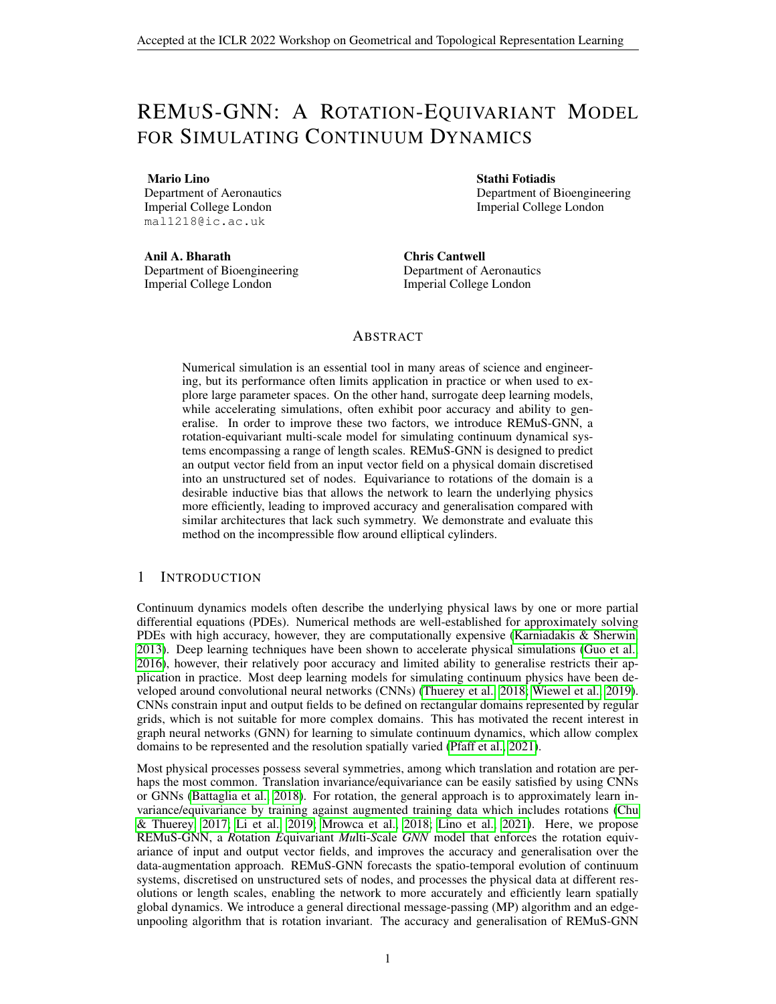# REMUS-GNN: A ROTATION-EQUIVARIANT MODEL FOR SIMULATING CONTINUUM DYNAMICS

Mario Lino

Department of Aeronautics Imperial College London mal1218@ic.ac.uk

Anil A. Bharath Department of Bioengineering Imperial College London

Stathi Fotiadis Department of Bioengineering Imperial College London

Chris Cantwell Department of Aeronautics Imperial College London

### ABSTRACT

Numerical simulation is an essential tool in many areas of science and engineering, but its performance often limits application in practice or when used to explore large parameter spaces. On the other hand, surrogate deep learning models, while accelerating simulations, often exhibit poor accuracy and ability to generalise. In order to improve these two factors, we introduce REMuS-GNN, a rotation-equivariant multi-scale model for simulating continuum dynamical systems encompassing a range of length scales. REMuS-GNN is designed to predict an output vector field from an input vector field on a physical domain discretised into an unstructured set of nodes. Equivariance to rotations of the domain is a desirable inductive bias that allows the network to learn the underlying physics more efficiently, leading to improved accuracy and generalisation compared with similar architectures that lack such symmetry. We demonstrate and evaluate this method on the incompressible flow around elliptical cylinders.

#### 1 INTRODUCTION

Continuum dynamics models often describe the underlying physical laws by one or more partial differential equations (PDEs). Numerical methods are well-established for approximately solving PDEs with high accuracy, however, they are computationally expensive (Karniadakis & Sherwin, 2013). Deep learning techniques have been shown to accelerate physical simulations (Guo et al., 2016), however, their relatively poor accuracy and limited ability to generalise restricts their application in practice. Most deep learning models for simulating continuum physics have been developed around convolutional neural networks (CNNs) (Thuerey et al., 2018; Wiewel et al., 2019). CNNs constrain input and output fields to be defined on rectangular domains represented by regular grids, which is not suitable for more complex domains. This has motivated the recent interest in graph neural networks (GNN) for learning to simulate continuum dynamics, which allow complex domains to be represented and the resolution spatially varied (Pfaff et al., 2021).

Most physical processes possess several symmetries, among which translation and rotation are perhaps the most common. Translation invariance/equivariance can be easily satisfied by using CNNs or GNNs (Battaglia et al., 2018). For rotation, the general approach is to approximately learn invariance/equivariance by training against augmented training data which includes rotations (Chu & Thuerey, 2017; Li et al., 2019; Mrowca et al., 2018; Lino et al., 2021). Here, we propose REMuS-GNN, a *R*otation *E*quivariant *Mu*lti-*S*cale *GNN* model that enforces the rotation equivariance of input and output vector fields, and improves the accuracy and generalisation over the data-augmentation approach. REMuS-GNN forecasts the spatio-temporal evolution of continuum systems, discretised on unstructured sets of nodes, and processes the physical data at different resolutions or length scales, enabling the network to more accurately and efficiently learn spatially global dynamics. We introduce a general directional message-passing (MP) algorithm and an edgeunpooling algorithm that is rotation invariant. The accuracy and generalisation of REMuS-GNN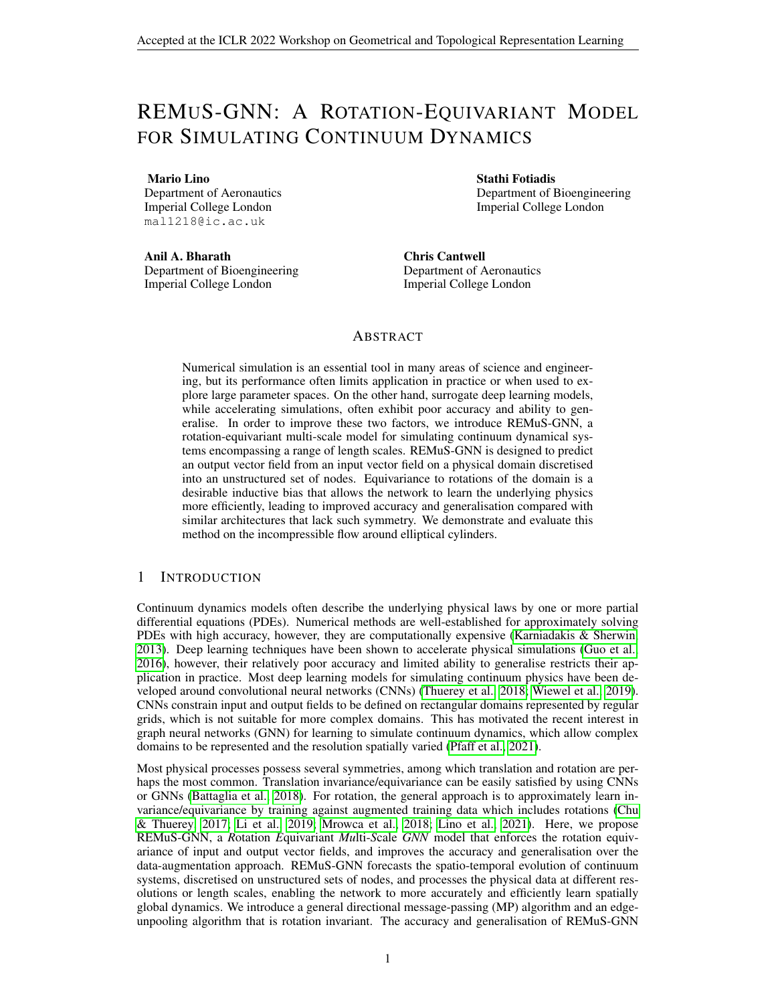was assessed on simulations of the incompressible flow around elliptical cylinders, an example of Eulerian dynamics with a global behaviour due the infinite speed of the pressure waves.

## 2 RELATED WORK

Neural solvers During the last five years, most of the neural network models used for simulating continuum physics have included convolutional layers. For instance, CNNs have been used to solve the Poisson's equation (Tang et al., 2018; Özbay et al., 2019) and to solve the Navier-Stokes equations (Guo et al., 2016; Thuerey et al., 2018; Lee & You, 2019; Kim et al., 2019; Wiewel et al., 2019), achieving an speed-up of one to four orders of magnitude with respect to numerical solvers. To the best of our knowledge Alet et al. (2019) were the first to explore the use of GNNs to infer continuum physics by solving the Poisson PDE, and subsequently Pfaff et al. (2021) proposed a mesh-based GNN to simulate a wide range of continuum dynamics. Multi-resolution graph models were later introduced by Li et al. (2020); Lino et al. (2021); Liu et al. (2021) and Chen et al. (2021).

Rotation invariance and equivariance There has been a constant interest to develop neural networks that are equivariant to symmetries, and particularly to rotation. For instance, Weiler & Cesa (2019) and Weiler et al. (2018) introduced an SE(2)-equivariant and an SE(3)-equivariant CNNs respectively, both later applied to simulate continuum dynamics by Wang et al. (2021) and Siddani et al. (2021). However, rotation equivariant CNNs only achieve equivariance with respect to a small set of rotations, unlike rotation equivariant GNNs (Thomas et al., 2018; Fuchs et al., 2020; Schütt et al., 2021; Satorras et al., 2021). All these rotation equivariant networks require a careful design of each of their components. On the other hand, rotation invariant GNNs, such as directional MP neural networks (Klicpera et al., 2020; 2021b), ensure the rotation invariance by a proper selection of the input and output attributes (Klicpera et al., 2021a; Liu et al., 2022). Nevertheless, these GNNs can only be applied to scalar fields, but not vector fields (Klicpera et al., 2020). On the other hand, although Tensor Flow Networks (Thomas et al., 2018) and SE(3)-Transformers (Fuchs et al., 2020) can handle equivariant vector fields and could be applied to Eulerian dynamics, they lack an efficient mechanism for processing and propagating node features across long distances.

# 3 REMUS-GNN

For a PDE  $\frac{\partial u}{\partial t} = F(u)$  on a spatial domain  $D = \mathbb{R}^2$ , REMuS-GNN infers the temporal evolution of the two-dimensional vector field  $u(t; x)$  at a finite set of nodes  $V^1$ , with coordinates  $x_i^1 \n\supseteq D$ . Given an input vector field  $\mathbf{u}(t_0; \mathbf{x}_{V^1})$  at time  $t = t_0$  and at the  $V^1$  nodes, a single evaluation of REMuS-GNN returns the output field  $u(t_0 + dt; x_{V^T})$ , where dt is a fixed time-step size. REMuS-GNN is equivariant to rotations of D, i.e., if a two-dimensional rotation R:  $x$  / Rx with R 2 R<sup>2</sup> <sup>2</sup> is applied to  $x_{V^1}$  and  $u(t_0; x_{V^1})$  then the output field is  $Ru(t_0 + dt; x_{V^1})$ . Such rotation equivariance is achieved through the selection of input attributes that are agnostic to the orientation of the domain (but still contain information about the relative position of the nodes) and the design of a neural network that is invariant to rotations. REMuS-GNN is applied to a data structure expanded from a directed graph. We denote it as  $H^1 := (V^1; E^1; A^1)$ , where  $E^1 := f(i; j)j i; j \geq V^1 g$  is a set of directed edges and  $A^1 := f(i, j, k) j(i, j)$ ;  $(j, k)$   $\supseteq E^1 g$  is a set of directed angles. The edges in  $E<sup>1</sup>$  are obtained using a k-nearest neighbours (k-NN) algorithm that guarantees that each node has exactly incoming edges. Unlike traditional GNNs, there are no input node-attributes to the network. The input attributes at edge  $(i, j)$  are  $e_{ij} := [u_{ij}, p(\mathbf{x}_i); j]$ , where  $p(\mathbf{x})$  can be any physical parameter and  $j = 1$  on Dirichlet boundaries and  $j = 0$  elsewhere. The edge attribute  $u_{ij}$  is defined as

$$
u_{ij} := \hat{\mathbf{e}}_{ij} \quad \mathbf{u}(t_0; \mathbf{x}_j)
$$
\n<sup>(1)</sup>

where  $\hat{e}_{ij}$  :=  $(x_j - x_i) = j/x_j - x_i j_2$ ; that is,  $u_{ij}$  is the projection of the input vector field at node *j* along the direction of the incoming edge  $(i, j)$  (see Figure 2a). The input attributes at angle  $(i,j;k)$  are  $a_{ijk} := [j/x_j - x_i j_j z_j jx_k - x_j j_j z_j \cos(\theta_{ijk})$ ; sin(  $(ijk)$ ); where  $i_{ijk} := \measuredangle(i;j)(j;k)$ . Since all the input attributes are independent of the chosen coordinate system, any function applied exclusively to them is invariant to both rotations and translations.

We denote as  $u_{ij}^{\ell} \nightharpoonup R$  to the output at edge  $(i,j)$  of a forward pass through the network, and it represents the projection of the output vector field at node  $j$  along the direction of the incoming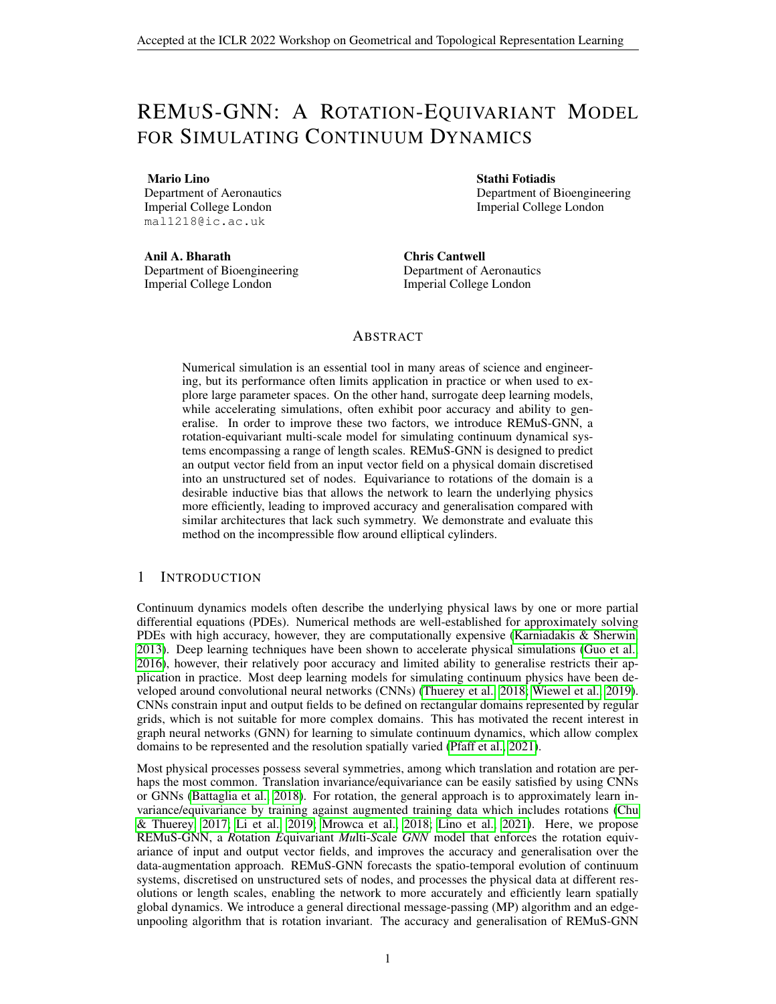edge (i; j). In order to obtain the desired output vectors at each node,  $u(t_0 + dt; x_{V^1})$ , from these scalar values; we solve the overdetermined system of equations (if  $\geq$  2) given by

$$
[\hat{e}_{1: j}^1][u(t_0 + dt; x_j)] = [u_{1: j}^0]; \quad \text{8j } 2 \, V^1; \tag{2}
$$

where matrix  $[\hat{e}_{1:j}] \supseteq R^{-2}$  contains in its rows the unit vectors along the directions of the incoming edges at node j,  $[u(t_0 + dt; x_j)] \geq R^2$  <sup>1</sup> is a column vector with the horizontal and vertical components of the output vector field at node j, and  $[\mathcal{U}]_{1:j}$   $[2 \text{ R}^{-1}]$  is another column vector with the value of  $u^{\beta}$  at each of the incoming edges. This step can be regarded as the inverse of the projection in equation (1). To solve equation (2) we use the Moore-Penrose pseudo-inverse of  $[\hat{e}_{1};j]$ , which we denote as  $[\hat{e}_{1:j}]^+ \geq \hat{R}^2$ . Thus, if we define the *projection-aggregation* function at scale  $\cdot$ ,  $\cdot$  : R  $\neq$  R<sup>2</sup>, as the matrix-vector product given by

$$
(\mathbf{e}_1, \mathbf{e}_2, \dots, \mathbf{e}_n) := [\hat{\mathbf{e}}_{1:j}]^+ [\mathbf{e}_1, \mathbf{e}_2, \dots, \mathbf{e}_n]^T
$$
(3)

then  $u(t_0 + dt; x_j) = {}^{-1}(u_{1:j}^{\ell})$  (see Figure 2b).

The output  $u(t_0 + dt; x_{V^1})$  can be successively re-fed to REMuS-GNN to produce temporal rollouts. In each forward pass the information processing happens at L length-scales in a U-Net fashion, as illustrated in Figure 3. A single MP layer applied to  $\overline{H}^1$  propagates the edge features only locally between adjacent edges. To process the information at larger length-scales, REMuS-GNN creates an H representation for each level, where MP is also applied. The lower-resolution representations  $(H^2; H^3; \dots; H^1;$  with  $|V_1| > |V_2| > |V_1|$  possess fewer nodes, and hence, a single MP layer can propagate the features of edges and angles over longer distances more efficiently. Each  $V^{+1}$  is a subset of V obtained using Guillard's coarsening algorithm (Guillard, 1993), and  $E^{+1}$ and  $A^{+1}$  are obtained in an analogous manner to how  $E^{1}$  and  $A^{1}$  were obtained, as well as their attributes  $e_{ij}^{+1}$  and  $a_{ij}^{-1}$ . Before being fed to the network, all the edge attributes  $e_{ij}$  and angle attributes  $a_{ij}$  are encoded through independent multi-layer perceptrons (MLPs). At the end, another MLP decodes the output edge-features of  $E^1$  to return  $u_{ij}^{\ell}$ . As depicted in Figure 3, the building blocks of REMuS-GNN's network are a directional MP (EdgeMP) layer, an edge-pooling layer and an edge-unpooling layer.

EdgeMP layer Based on the GNBlock introduced by Sanchez-Gonzalez et al. (2018) and Battaglia et al. (2018) to update node and edge attributes, we define a general MP layer to update angle and edge attributes. The angle-update, angle-aggregation and edge-update at scale `are given by

$$
\hat{a}_{ijk} = f^a([a_{ijk}; e_{ij}; e_{jk}]) ; \quad \beta(i; j; k) \ 2 \ A \ \ ; \tag{4}
$$

$$
\overline{a}_{jk} = \frac{1}{k2N_j} \overline{a}_{ijk}; \qquad \mathcal{S}(j;k) \mathcal{Z} \overline{E}; \qquad (5)
$$

$$
\mathbf{e}_{jk} = f^e([\mathbf{e}_{jk}, \mathbf{a}_{jk}]) \qquad \mathcal{S}(j, k) \mathcal{Z} \mathbf{E} \tag{6}
$$

Functions  $f^a$  and  $f^e$  are MLPs in the present work. This algorithm is illustrated in Figure 4.

**Edge-pooling layer** Given a node  $j \geq V$  (hence  $j \geq V^{-1}$  too), an outgoing edge  $(j/k) \geq E$ and its incoming edges  $(i, j) \supseteq E^{-1}$ , we can define new angles  $(i, j, k) \supseteq A^{-1}$ ; that connect scale  $\degree$  1 to scale  $\degree$ . Pooling from  $H \degree$  1 to  $H \degree$  is performed as the EdgeMP, but using the incoming edges  $(i, j) \supseteq E^{-1}$ , outcoming edge  $(j, k) \supseteq E^{\perp}$  and angles  $(i, j, k) \supseteq A^{-1}$ .

**Edge-unpooling layer** To perform the unpooling from  $H^+$ <sup>1</sup> to  $H^+$  we first aggregate the features of incoming edges into node features. Namely, given the incoming edges at node  $j \n\geq V^{+1}$ and their *F*-dimensional edge-features,  $e^{+1}_{ij} = [(e_1)^{+1}_{ij}; (e_2)^{+1}_{ij}; \dots; (e_F)^{+1}_{ij}]$ , the node-feature matrix  $W_j^{\dagger+1}$  2  $R^2$   $\bar{F}$  is obtained applying the projection-aggregation function  $\bar{F}$  to each component of the edge features according to

$$
W_j^{+1} = \left[ \left[ \left[ (e_1)_{1:j}^{+1} \right)^T \right] \left[ (e_2)_{1:j}^{+1} \right)^T \right] \cdots \left[ \left[ (e_F)_{1:j}^{+1} \right)^T \right]. \tag{7}
$$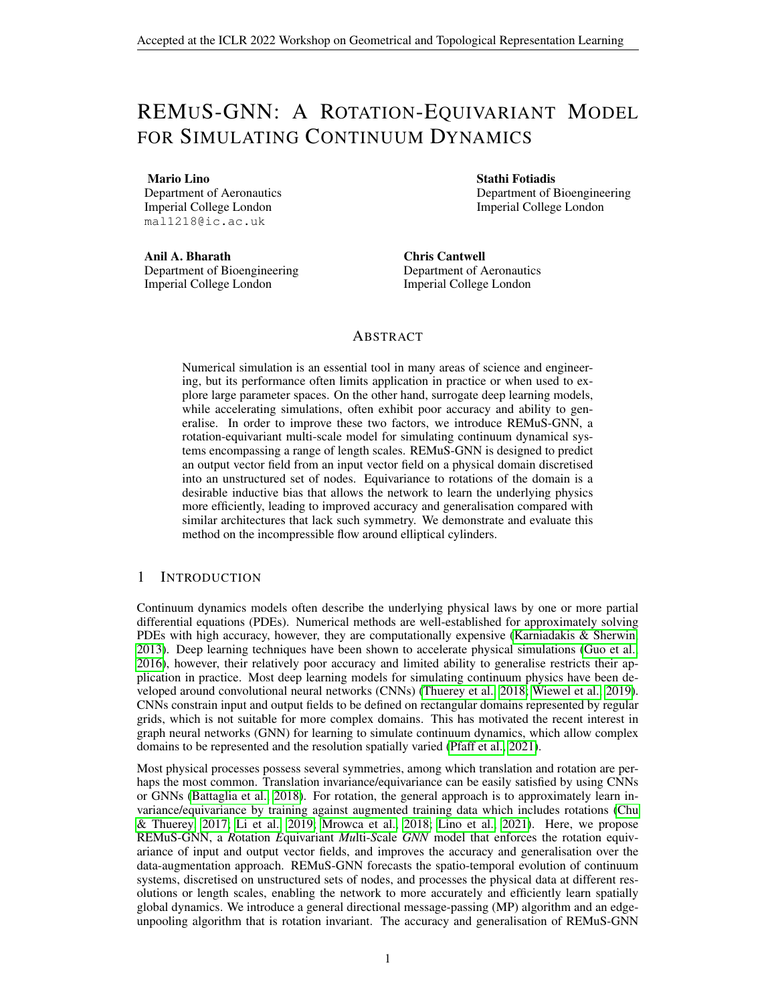where *j* denotes the horizontal concatenation of column vectors. Then,  $W_j^{+1}$  is interpolated to the set of nodes  $V$  following the interpolation algorithm introduced by Qi et al. (2017), yielding  $W_k$   $2 \mathbb{R}^2$  F at each node  $k \mathbb{Z} V$ . Next, these node features are projected to each edge  $(i, k)$  on  $E^{\text{S}}$ to obtain  $\mathbf{w}_{ik} \, 2 \, \mathsf{R}^F$ , where

$$
w_{ik} := \hat{e}_{ik} W_k; \quad \mathcal{S}(l; k) \ 2 \ E \tag{8}
$$

Finally, the MLP  $f^U$  is used to update the edge features  $\vec{e}_{ik}$  as

$$
\hat{\boldsymbol{e}_{lk}} \qquad f^{U}([\hat{\boldsymbol{e}_{lk}}; \hat{\boldsymbol{w}_{lk}}]) \qquad \mathcal{B}(I; k) \; \geq E \qquad (9)
$$

#### 4 EXPERIMENTS

Datasets Datasets Ns and NsVal where use for training and validation respectively. Both contain solutions of the incompressible Navier-Stokes equations for the flow around an elliptical cylinder with an aspect ratio  $b \, 2 \, [0.5, 0.8]$  on a rectangular fluid domain with top and bottom boundaries separated by a distance  $H \supseteq [5/6]$ . Each sample consists of the vector-valued velocity field at 100 time-points within the periodic vortex-shedding regime with a Reynolds number  $Re \ 2$  [500; 1000]. Domains are discretised with between 4800 and 9200 nodes. In REMuS-GNN, the input  $u(t; x)$ corresponds to the velocity field and  $p(x)$  to Re. Besides these datasets, six datasets with out-ofdistribution values for  $b$ ,  $H$  and  $Re$  were used for assessing the generalisation of the models; and dataset NsAoA includes rotated ellipses. Further details are included in Appendix C.

Models We compare REMuS-GNN with MultiScaleGNN (Lino et al., 2021), a state-of-the-art model for inferring continuum dynamics; and with MultiScaleGNNg, a modified version of MultiScaleGNN. MultiScaleGNN and MultiScaleGNNg possess the same U-Net-like architecture as REMuS-GNN, while MultiScaleGNNg and REMuS-GNN also share the same low-resolution representations. The benchmark models are not rotation equivariant, so they were trained with and without rotations of the domain. All the models have three scales ( $L = 3$ ) and a similar number of learnable parameters. For hyper-parameter choices and training setup see Appendix D.



Figure 1: MAE ( $10^{-2}$ ) on the NsVal dataset under rotations of D.

tional results are included in Appendix E.

#### 5 CONCLUSION

Results From Figure 1 it is clear that the MAEs of the predictions of MultiScaleGNN and MultiScaleGNNg trained without rotations grow significantly during inference on rotations of the domain greater than 5 degrees. On the other hand, these models trained with rotations are able to maintain an approximately constant MAE for each rotation of the domain. Hence, from now on we only consider these benchmark models. It can be seen that REMuS-GNN outperforms the benchmark models on every rotation of the validation dataset. Table 1 collects the MAE on the velocity field (measured with the free-stream as reference) and the MAE on the x-coordinate of the separation point on the upper wall of the ellipses. It can be concluded that REMuS-GNN also has a much better generalisation than the benchmark models. Addi-

We proposed a translation and rotational equivariant model for predicting the spatio-temporal evolution of vector fields defined on continuous domains, where the dynamics may encompass a range of length scales and/or be spatially global. The proposed model employs a generalised directional message-passing algorithm and a novel edge-unpooling algorithm specifically designed to satisfy the rotation invariance requirement. The incorporation of rotation equivariance as a strong inductive bias results in a higher accuracy and better generalisation compared with the vanilla data-augmentation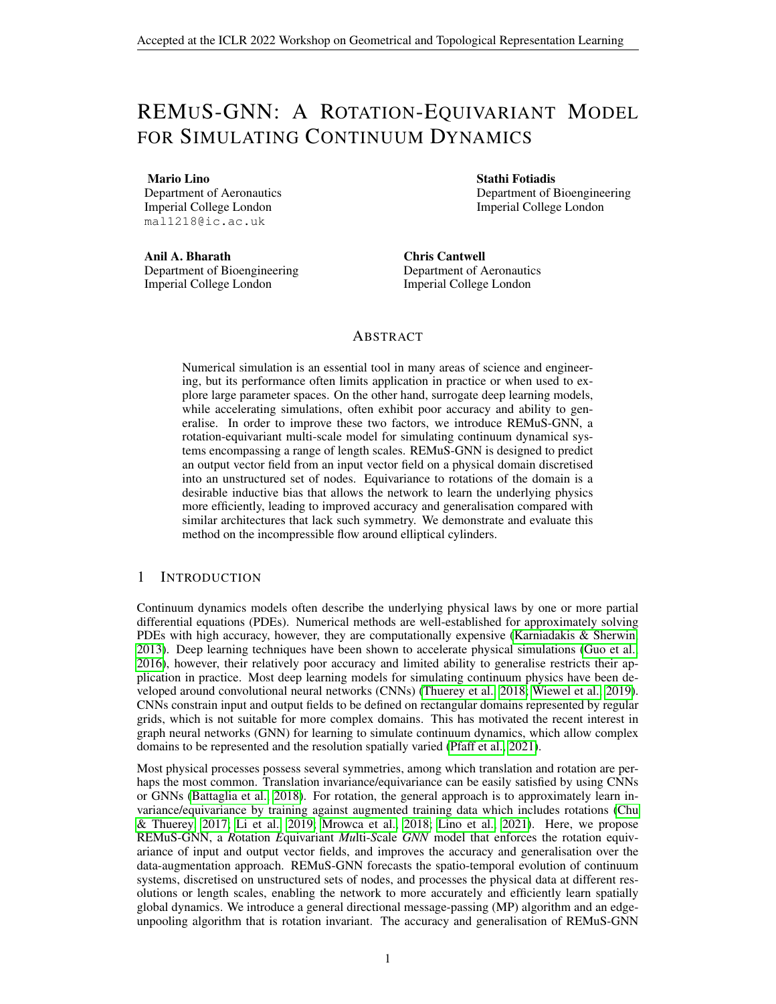|                  |                  | NsLowRe | NsHighRe | NsThin | NsThick | NsNarrow | NsWide | NsAoA |
|------------------|------------------|---------|----------|--------|---------|----------|--------|-------|
| <b>REMuS-GNN</b> | Velocity field   | 4.514   | 9.576    | 3.152  | 4.430   | 2.861    | 2.873  | 2.504 |
|                  | Separation point | 3.082   | 6.464    | 2.477  | 4.488   | 2.934    | 2.964  | 3.219 |
| MultiScaleGNN    | Velocity field   | 5.723   | 13.886   | 3.703  | 5.531   | 3.583    | 3.454  | 3.451 |
|                  | Separation point | 4.424   | 7.524    | 2.825  | 4.873   | 3.830    | 3.959  | 4.386 |
| MultiScaleGNNg   | Velocity field   | 4.826   | 8.552    | 4.085  | 7.201   | 4.759    | 4.666  | 4.593 |
|                  | Separation point | 4.414   | 7.264    | 3.025  | 6.405   | 4.222    | 4.468  | 4.993 |

| Table 1: MAE $\frac{10^{-2}}{2}$ in the velocity field and the <i>x</i> -coordinate of the separation point |  |  |  |  |  |  |  |  |  |  |
|-------------------------------------------------------------------------------------------------------------|--|--|--|--|--|--|--|--|--|--|
|-------------------------------------------------------------------------------------------------------------|--|--|--|--|--|--|--|--|--|--|

approach for approximately learning the rotation equivariance. To the best of the authors' knowledge, REMuS-GNN is the first multi-scale and rotation-equivariant GNN model for inferring Eulerian dynamics.

### **REFERENCES**

- Ferran Alet, Adarsh Keshav Jeewajee, Maria Bauza Villalonga, Alberto Rodriguez, Tomas Lozano-Perez, and Leslie Kaelbling. Graph element networks: adaptive, structured computation and memory. In *International Conference on Machine Learning*, pp. 212–222. PMLR, 2019.
- Jimmy Lei Ba, Jamie Ryan Kiros, and Geoffrey E Hinton. Layer normalization. *arXiv preprint arXiv:1607.06450*, 2016.
- Peter W Battaglia, Jessica B Hamrick, Victor Bapst, Alvaro Sanchez-Gonzalez, Vinicius Zambaldi, Mateusz Malinowski, Andrea Tacchetti, David Raposo, Adam Santoro, Ryan Faulkner, et al. Relational inductive biases, deep learning, and graph networks. *arXiv preprint arXiv:1806.01261*, 2018.
- Chris D Cantwell, David Moxey, Andrew Comerford, Alessandro Bolis, Gabriele Rocco, Gianmarco Mengaldo, Daniele De Grazia, Sergey Yakovlev, J-E Lombard, Dirk Ekelschot, et al. Nektar++: An open-source spectral/hp element framework. *Computer physics communications*, 192:205– 219, 2015.
- J Chen, E Hachem, and J Viquerat. Graph neural networks for laminar flow prediction around random two-dimensional shapes. *Physics of Fluids*, 33(12):123607, 2021.
- Mengyu Chu and Nils Thuerey. Data-driven synthesis of smoke flows with cnn-based feature descriptors. *ACM Transactions on Graphics (TOG)*, 36(4):1–14, 2017.
- Fabian Fuchs, Daniel Worrall, Volker Fischer, and Max Welling. Se (3)-transformers: 3d rototranslation equivariant attention networks. *Advances in Neural Information Processing Systems*, 33:1970–1981, 2020.
- Hervé Guillard. Node-nested multi-grid method with delaunay coarsening. Technical report, INRIA, 1993.
- Xiaoxiao Guo, Wei Li, and Francesco Iorio. Convolutional neural networks for steady flow approximation. In *Proceedings of the 22nd ACM SIGKDD international conference on knowledge discovery and data mining*, pp. 481–490, 2016.
- George Karniadakis and Spencer Sherwin. *Spectral/hp element methods for computational fluid dynamics*. Oxford University Press, 2013.
- Byungsoo Kim, Vinicius C Azevedo, Nils Thuerey, Theodore Kim, Markus Gross, and Barbara Solenthaler. Deep fluids: A generative network for parameterized fluid simulations. In *Computer Graphics Forum*. Wiley Online Library, 2019.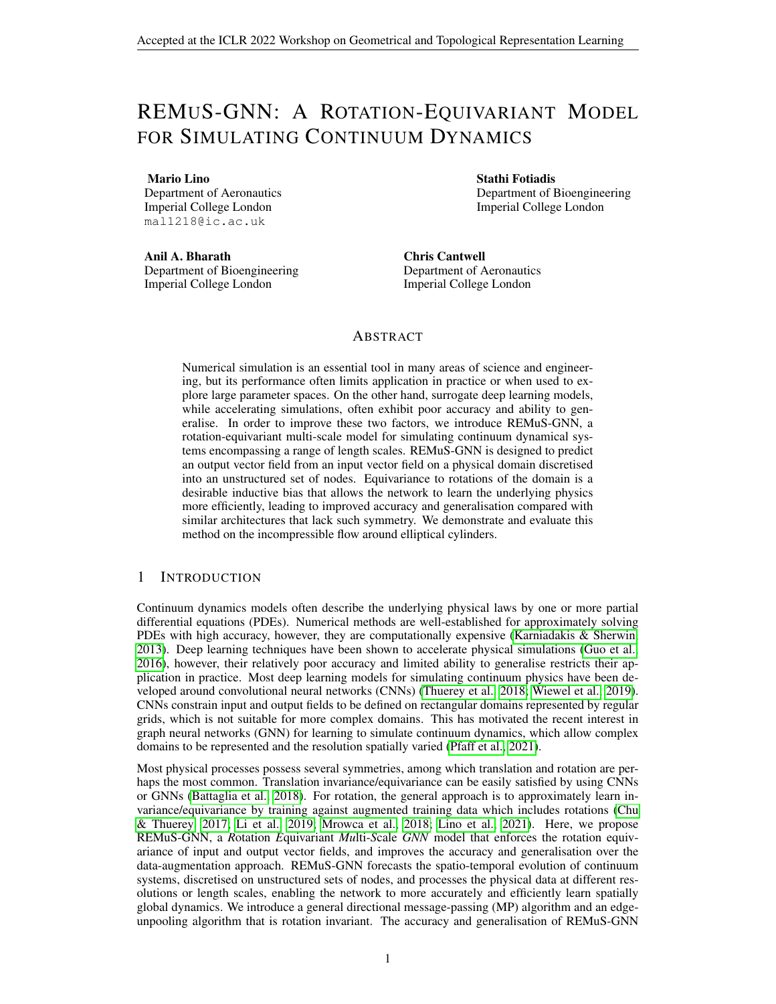- Diederik P. Kingma and Jimmy Ba. Adam: A method for stochastic optimization. In Yoshua Bengio and Yann LeCun (eds.), *3rd International Conference on Learning Representations, ICLR 2015, San Diego, CA, USA, May 7-9, 2015, Conference Track Proceedings*, 2015. URL [http:](http://arxiv.org/abs/1412.6980) [//arxiv.org/abs/1412.6980](http://arxiv.org/abs/1412.6980).
- Günter Klambauer, Thomas Unterthiner, Andreas Mayr, and Sepp Hochreiter. Self-normalizing neural networks. *arXiv preprint arXiv:1706.02515*, 2017.
- Johannes Klicpera, Janek Groß, and Stephan Gunnemann. Directional message passing for molec- ¨ ular graphs. In *8th International Conference on Learning Representations, ICLR 2020*, 2020.
- Johannes Klicpera, Florian Becker, and Stephan Günnemann. Gemnet: Universal directional graph neural networks for molecules. *Advances in Neural Information Processing Systems*, 34, 2021a.
- Johannes Klicpera, Chandan Yeshwanth, and Stephan Gunnemann. Directional message passing on ¨ molecular graphs via synthetic coordinates. *Advances in Neural Information Processing Systems*, 34, 2021b.
- Sangseung Lee and Donghyun You. Data-driven prediction of unsteady flow over a circular cylinder using deep learning. *Journal of Fluid Mechanics*, 879:217–254, 2019.
- Yunzhu Li, Jiajun Wu, Russ Tedrake, Joshua B Tenenbaum, and Antonio Torralba. Learning particle dynamics for manipulating rigid bodies, deformable objects, and fluids. In *7th International Conference on Learning Representations, ICLR 2019*, 2019.
- Zongyi Li, Nikola Kovachki, Kamyar Azizzadenesheli, Burigede Liu, Andrew Stuart, Kaushik Bhattacharya, and Anima Anandkumar. Multipole graph neural operator for parametric partial differential equations. *Advances in Neural Information Processing Systems*, 33:6755–6766, 2020.
- Mario Lino, Chris Cantwell, Anil A Bharath, and Stathi Fotiadis. Simulating continuum mechanics with multi-scale graph neural networks. *arXiv preprint arXiv:2106.04900*, 2021.
- Wenzhuo Liu, Mouadh Yagoubi, and Marc Schoenauer. Multi-resolution graph neural networks for pde approximation. In *International Conference on Artificial Neural Networks*, pp. 151–163. Springer, 2021.
- Yi Liu, Limei Wang, Meng Liu, Yuchao Lin, Xuan Zhang, Bora Oztekin, and Shuiwang Ji. Spherical message passing for 3d molecular graphs. In *10th International Conference on Learning Representations, ICLR 2022*, 2022.
- Damian Mrowca, Chengxu Zhuang, Elias Wang, Nick Haber, Li F Fei-Fei, Josh Tenenbaum, and Daniel L Yamins. Flexible neural representation for physics prediction. In *Advances in neural information processing systems*, pp. 8799–8810, 2018.
- Ali Girayhan Ozbay, Sylvain Laizet, Panagiotis Tzirakis, Georgios Rizos, and Björn Schuller. Poisson CNN: Convolutional Neural Networks for the Solution of the Poisson Equation with Varying Meshes and Dirichlet Boundary Conditions, 2019. URL [http://arxiv.org/abs/1910.](http://arxiv.org/abs/1910.08613) [08613](http://arxiv.org/abs/1910.08613).
- Tobias Pfaff, Meire Fortunato, Alvaro Sanchez-Gonzalez, and Peter W Battaglia. Learning meshbased simulation with graph networks. In *(accepted) 38th International Conference on Machine Learning, ICML 2021*, 2021.
- Charles Ruizhongtai Qi, Li Yi, Hao Su, and Leonidas J Guibas. Pointnet++: Deep hierarchical feature learning on point sets in a metric space. *Advances in neural information processing systems*, 30, 2017.
- Alvaro Sanchez-Gonzalez, Nicolas Heess, Jost Tobias Springenberg, Josh Merel, Martin Riedmiller, Raia Hadsell, and Peter Battaglia. Graph networks as learnable physics engines for inference and control. *35th International Conference on Machine Learning, ICML 2018*, 10:7097–7117, 2018.
- Vıctor Garcia Satorras, Emiel Hoogeboom, and Max Welling. E (n) equivariant graph neural networks. In *International Conference on Machine Learning*, pp. 9323–9332. PMLR, 2021.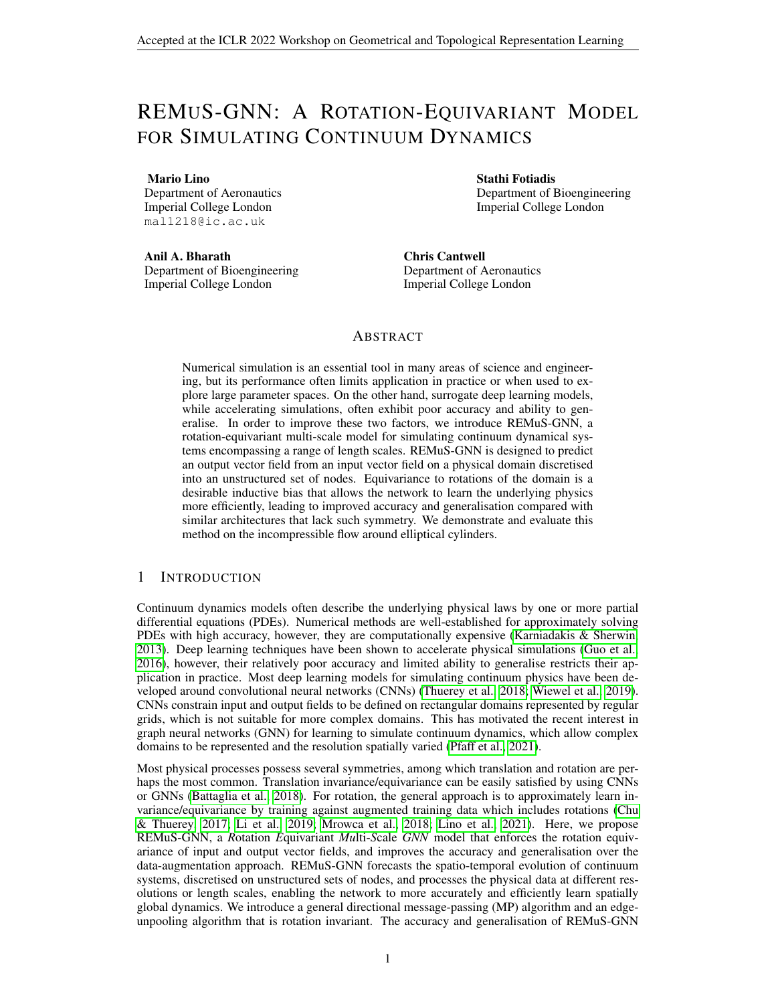- Kristof Schütt, Oliver Unke, and Michael Gastegger. Equivariant message passing for the prediction of tensorial properties and molecular spectra. In *International Conference on Machine Learning*, pp. 9377–9388. PMLR, 2021.
- B Siddani, S Balachandar, and Ruogu Fang. Rotational and reflectional equivariant convolutional neural network for data-limited applications: Multiphase flow demonstration. *Physics of Fluids*, 33(10):103323, 2021.
- Wei Tang, Tao Shan, Xunwang Dang, Maokun Li, Fan Yang, Shenheng Xu, and Ji Wu. Study on a Poisson's equation solver based on deep learning technique. *2017 IEEE Electrical Design of Advanced Packaging and Systems Symposium, EDAPS 2017*, 2018-Janua:1–3, 2018. doi: 10. 1109/EDAPS.2017.8277017.
- Nathaniel Thomas, Tess Smidt, Steven Kearnes, Lusann Yang, Li Li, Kai Kohlhoff, and Patrick Riley. Tensor field networks: Rotation-and translation-equivariant neural networks for 3d point clouds. *arXiv preprint arXiv:1802.08219*, 2018.
- Nils Thuerey, Konstantin Weissenow, Lukas Prantl, and Xiangyu Hu. Deep Learning Methods for Reynolds-Averaged Navier-Stokes Simulations of Airfoil Flows. *AIAA Journal*, 58(1):15–26, oct 2018. ISSN 0001-1452. doi: 10.2514/1.j058291. URL [http://arxiv.org/abs/1810.](http://arxiv.org/abs/1810.08217) [08217](http://arxiv.org/abs/1810.08217).
- Rui Wang, Robin Walters, and Rose Yu. Incorporating symmetry into deep dynamics models for improved generalization. In *9th International Conference on Learning Representations, ICLR 2021*, 2021.
- Maurice Weiler and Gabriele Cesa. General e (2)-equivariant steerable cnns. *Advances in Neural Information Processing Systems*, 32, 2019.
- Maurice Weiler, Mario Geiger, Max Welling, Wouter Boomsma, and Taco S Cohen. 3d steerable cnns: Learning rotationally equivariant features in volumetric data. *Advances in Neural Information Processing Systems*, 31, 2018.
- Steffen Wiewel, Moritz Becher, and Nils Thuerey. Latent space physics: Towards learning the temporal evolution of fluid flow. In *Computer Graphics Forum*. Wiley Online Library, 2019.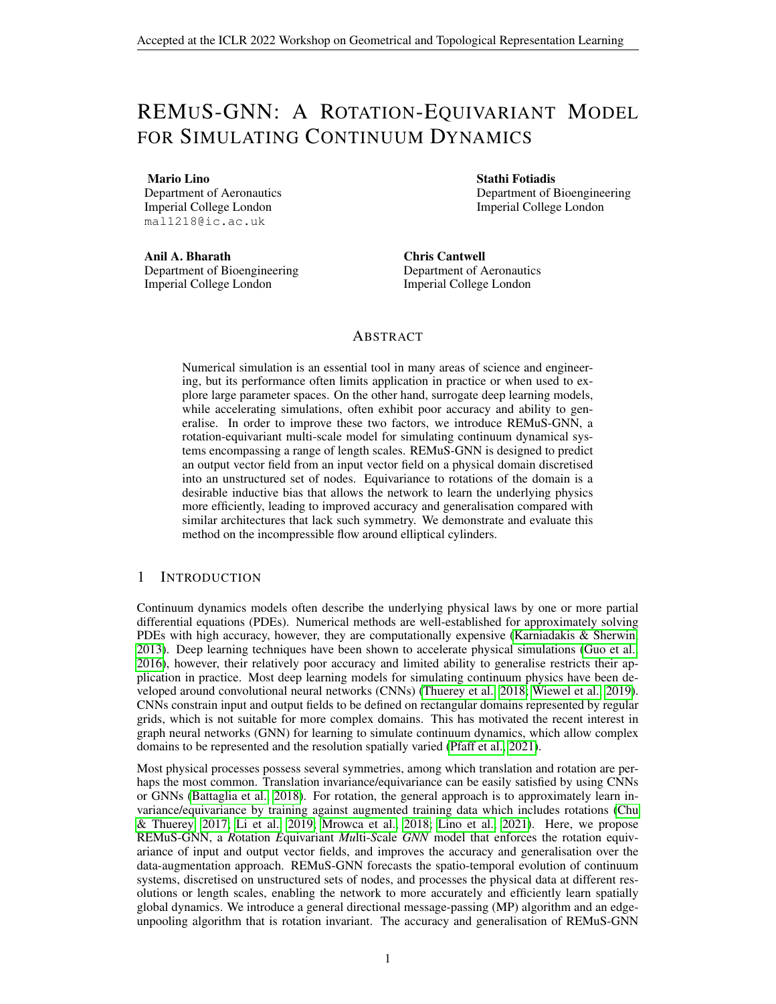# A DIAGRAMS OF REMUS-GNN'S BUILDING BLOCKS



Figure 2: Diagrams of the projection step and projection-aggregation step (with = 3). The projection allows to encode a vector defined at node  $j, u_j$ , as its projection along the direction of the incoming edges. The projection-aggregation is equivalent to the inverse of the projection step. Given the projection of  $u_j$  along the incoming edges,  $e_{1:\kappa,j}$ ; it restores the vector  $u_j$  by solving the overdetermined system of equations given by equation (2).



Figure 3: REMuS-GNN architecture.  $H^1$  is a high-resolution representation,  $H^{\ell}$  with  $\cdot$  2 are lowerresolution representations.



Figure 4: Diagram of the EdgeMP algorithm applied to update the edge attribute  $e_{ik}$  (in the diagram = 3). The algorithm has three steps: update of the angle attributes, aggregation of the angle attributes and update of the edge attributes. In this case the angle-update step must be repeated 3 times (once for each incoming edge at node  $j$ ).

#### B ROTATION INVARIANCE OF THE EDGE-UNPOOLING LAYER

To achieve the rotation equivariance of REMuS-GNN it is required that the MP layers, edge-pooling layers and edge-unpooling layers are invariant to rotations. It is easy to see that MP and pooling layers (equations (4) to (6)) are rotation invariant. As for the unpooling from scale  $\rightarrow$  + 1 to scale  $\rightarrow$ the edge-unpooling layers in REMuS-GNN perform four steps:

- 1. Aggregation of the incoming-edges' feature-vectors at each node in  $V<sup>1</sup>$  -equation (7).
- 2. Interpolation of the obtained features from  $V^{+1}$  to  $V$  —knn-interpolation in (Qi et al., 2017).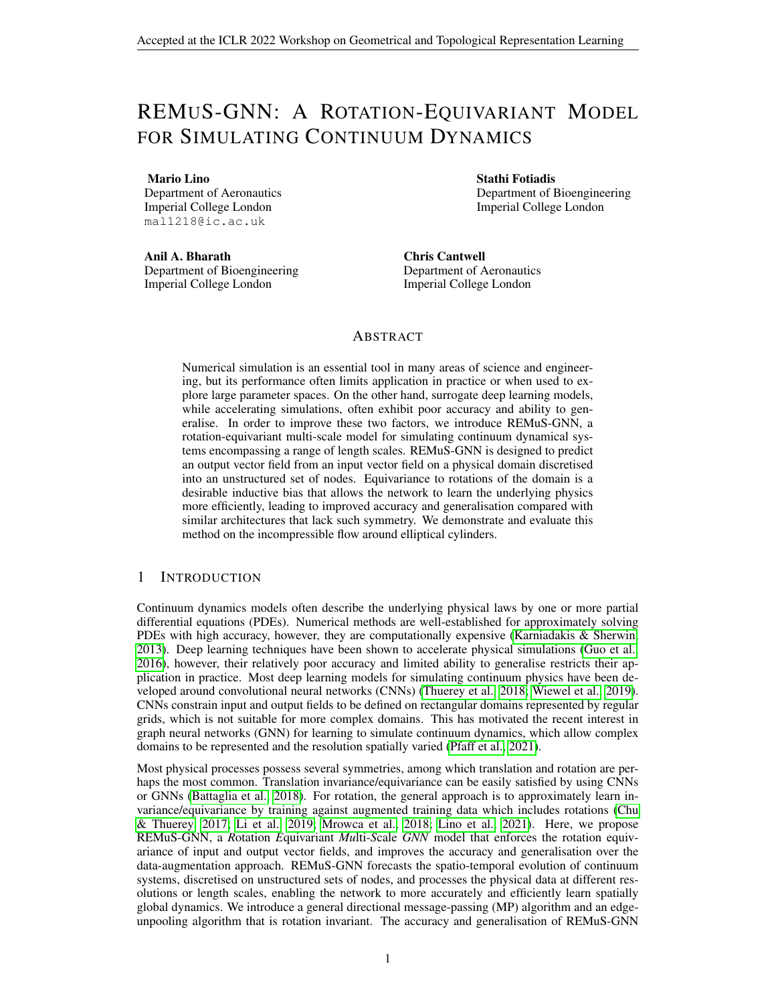- 3. Projection of the interpolated node-features along the direction of the incoming edges at scale  $\degree$  —equation (8).
- 4. Update of the edge features —equation (9).

Steps 2 and 4 are invariant to rotations since they do not depend on the particular directions of the edges on  $V$  nor  $V^{+1}$ . On the other hand, step 1 is not rotation invariant since a two-dimensional rotation  $R : x \perp xR$  of  $D$  (and  $V^1$ ) modifies the output of the projection-aggregation function given by equation (3) to

$$
([\hat{e}_{1: j}]R)^+[e_1; e_2; \dots; e]^{T} = R^+[\hat{e}_{1: j}]^+[e_1; e_2; \dots; e]^{T}
$$

$$
= R^{-1} \cdot {}^{+1}(e_1; e_2; \dots; e) :
$$

Hence, according to equation (7), the result of the step 1 in the edge-unpooling layer is  $R^{-1}W_j^{+1}$ for all  $j \geq V^{+1}$ , and the result of step 2 (rotation invariant) is  $R^{-1}W_k$  for all  $k \geq V$ . Step 3 is not rotation invariant, and given the input  $R^{-1}W_k$ , the output that follows is

$$
(\hat{e}_{ik}R)(R^{-1}W_k) = \hat{e}_{ik}W_k
$$
  
=  $W_{ik}$ .

 $(10)$ 

Thus, despite step 1 and 3 are not invariant to rotations separately, they are when applied jointly.

#### C DATASETS DETAILS

We solved the two-dimensional incompressible Navier-Stokes equation using the high-order solver Nektar++ (Cantwell et al., 2015). The Navier-Stokes equations read

$$
\frac{\mathscr{Q}U}{\mathscr{Q}X}+\frac{\mathscr{Q}V}{\mathscr{Q}Y}=0;
$$

$$
\frac{\partial U}{\partial t} + U \frac{\partial U}{\partial x} + V \frac{\partial U}{\partial y} = \frac{\partial D}{\partial x} + \frac{1}{Re} \left( \frac{\partial^2 U}{\partial x^2} + \frac{\partial^2 U}{\partial y^2} \right); \quad (11)
$$



where  $u(t; x; y)$  and  $v(t; x; y)$  are the horizontal and vertical Figure 5: Set of nodes  $V_1$  for a simucomponents of the velocity field,  $p(t; x; y)$  is the pressure field, and Re is the Reynolds number. We consider the flow around

lation on the Ns dataset.

an elliptical cylinder with major axis equal to one and minor axis b on a rectangular fluid domain of dimensions  $8.5$  D (see Figure 5). The left, top and bottom boundaries have as boundary condition  $u = 1$ ,  $v = 0$  and  $\mathcal{Q}p = \mathcal{Q}x = 0$ ; the right boundary is an outlet with  $\mathcal{Q}u = \mathcal{Q}x = 0$ ,  $\mathcal{Q}v = \mathcal{Q}x = 0$ and  $p = 0$ ; and the cylinder wall has a no-slip condition  $u = v = 0$ . In our simulations we only selected Re values that yield solutions within the laminar vortex-shedding regime. The sets of nodes  $V<sup>1</sup>$  employed for each simulation were created using *Gmsh* with an element-size equal to h at the corners of the domain and  $0.3h$  on the cylinder wall. Each simulation contains 100 time-points equispaced by a time-step size  $dt = 0.1$ . The parameters of the training, validation and testing datasets are collated in Table 2.

# D MODELS DETAILS

The implementation of the benchmark model MultiScaleGNN is taken from Lino et al. (2021). MultiScaleGNNg is a modified version of MultiScaleGNN to follow the pooling and unpooling used by Liu et al. (2021). For this model, the low-resolution sets of nodes were generated using Guillard's coarsening algorithm (Guillard, 1993) as in REMuS-GNN. This way, both models share the same high and low-resolution discretisations. For a fair comparison all the models considered in the present work follow the same U-Net-like architecture and have in common the hyper-parameters and training setup described below. Hence, they have a similar number of learnable parameters  $(2:2M).$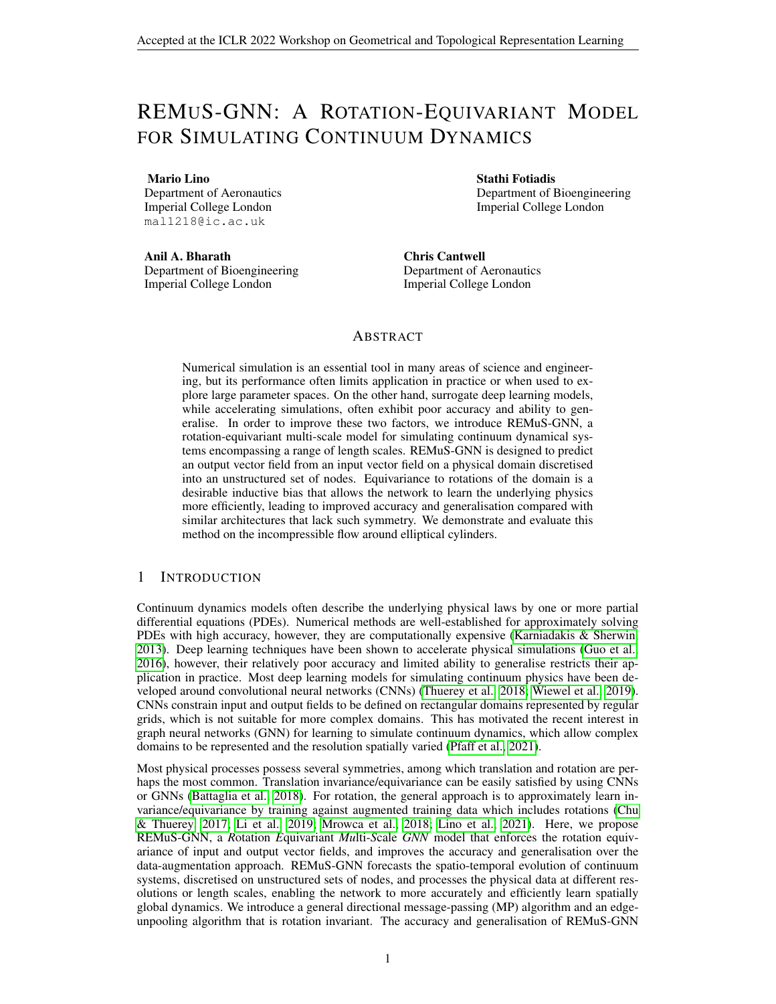| <b>Dataset</b> | Re        | b           | Н       | $AoA$ $(deg)$ | h             | #Simulations | Purpose        |
|----------------|-----------|-------------|---------|---------------|---------------|--------------|----------------|
| Ns             | 500-1000  | $0.5 - 0.8$ | 5-6     | $\Omega$      | $0.10 - 0.16$ | 5000         | Training       |
| NsVal          | 500-1000  | $0.5 - 0.8$ | 5-6     | $\Omega$      | $0.10 - 0.16$ | 500          | Validation     |
| NsLowRe        | 200-500   | $0.5 - 0.8$ | 5-6     | $\Omega$      | $0.10 - 0.16$ | 500          | <b>Testing</b> |
| NsHighRe       | 1000-1500 | $0.5 - 0.8$ | 5-6     | $\Omega$      | $0.10 - 0.16$ | 500          | <b>Testing</b> |
| NsThin         | 500-1000  | $0.3 - 0.5$ | 5-6     | $\Omega$      | $0.10 - 0.16$ | 500          | <b>Testing</b> |
| NsThick        | 500-1000  | $0.8 - 1.0$ | $5-6$   | $\Omega$      | $0.10 - 0.16$ | 500          | Testing        |
| NsNarrow       | 500-1000  | $0.5 - 0.8$ | $4 - 5$ | $\Omega$      | $0.10 - 0.16$ | 500          | <b>Testing</b> |
| NsWide         | 500-1000  | $0.5 - 0.8$ | $6 - 7$ | $\Omega$      | $0.10 - 0.16$ | 500          | <b>Testing</b> |
| NsAoA          | 500-1000  | $0.5 - 0.8$ | 5.5     | $0 - 10$      | 0.12          | 240          | <b>Testing</b> |

Table 2: Incompressible flow datasets

**Hyper-parameters choice** The number of incoming edges at each node was set to  $= 5$ , and the number of linear layers in each MLP is 2 (except for  $f^{\bar{u}}$ , which has 3 linear layers), with 128 neurons per hidden layer. All MLPs use SELU activation functions (Klambauer et al., 2017), and, batch normalisation (Ba et al., 2016). The number of MP layers we used at each scale are  $2 \quad M_1 = 8$ , 2  $M_2 = 4$  and  $M_3 = 4$ .

Training details During training four graphs were fed per iteration. First, each training iteration predicted a single time-point, and every time the training loss decreased below 0.02 we increased the number of iterative time-steps by one, up to a limit of 10. We used the loss function given by

$$
L = \text{MSE}\left(\hat{\mathbf{u}}(t; \mathbf{x}_{V1}^1); \mathbf{u}(t; \mathbf{x}_{V1}^1)\right) + \frac{1}{d} \text{MAE}\left(\hat{\mathbf{u}}(t; \mathbf{x}_{V1}^1 \mid 2 \mathcal{Q}_D D); \mathbf{u}(t; \mathbf{x}_{V1}^1 \mid 2 \mathcal{Q}_D D)\right);
$$

with  $d = 0.25$ . The initial time-point t<sub>0</sub> was randomly selected for each prediction, and, we added to the initial field noise following a uniform distribution between -0.01 and 0.01. After each time-step, the models' weights were updated using the Adam optimiser with its standard parameters (Kingma & Ba, 2015). The learning rate was set to 10<sup>4</sup> and multiplied by 0.5 when the training loss did not decrease after two consecutive epochs, also, we applied gradient clipping to keep the Frobenius norm of the weights' gradients below or equal to one.

# E ADDITIONAL RESULTS

REMuS-GNN is rotation equivariant by design, whereas traditionally this symmetry is learnt through data augmentation of the training dataset with random rotations of the physical domain. Figure 6 shows the ground truth and predictions after 100 time-steps of the horizontal velocity on a sample from the NsVal dataset that has been rotated 10 degrees. It can be observed that the benchmark models trained without rotations produce unstable simulations, whereas all the other models produce realistic results. Among these, REMuS-GNN has the lower MAE and produces a better resolved solution. Figure 7 shows the ground truth and predictions after 100 time-steps of the horizontal velocity on a sample from the NsAoA dataset. In this case the ellipse has been rotated 10 degrees clockwise (i.e. the angle of attack is 10 degrees). It is possible to notice that in REMuS-GNN's prediction the position of the wake and vortices, as well as their shape, is more similar to the ground truth than in the other two benchmark models (both trained with rotations). This illustrates the better generalisation of REMuS-GNN with respect to models that are not designed to be rotation equivariant. Simulations with the ground truth and predictions of REMuS-GNN and the benchmark models can be found *[here.](https://imperialcollegelondon.box.com/s/3zh4fwdh8tt7ifowlspwnb6uz2nwq5bs)*